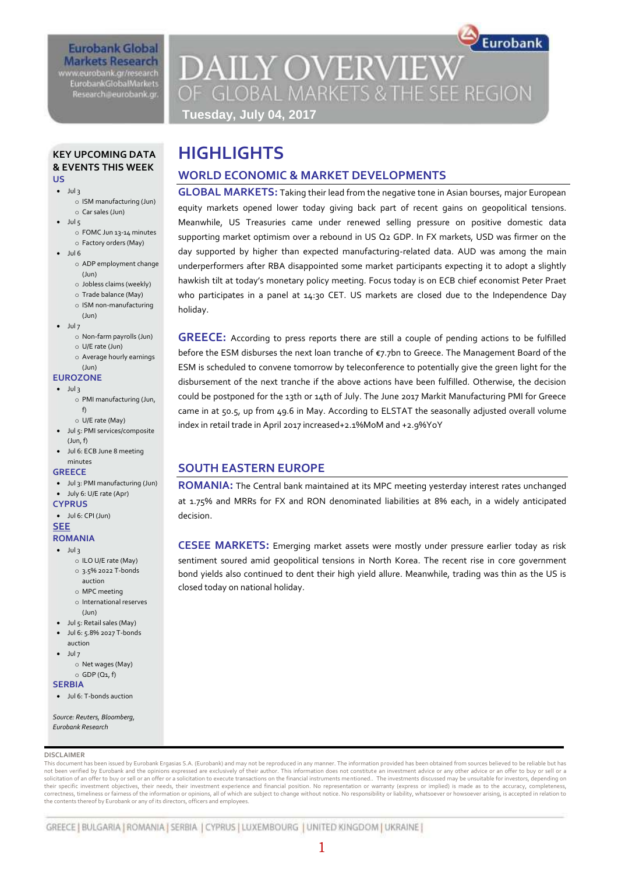## **Eurobank Global Markets Research** www.eurobank.gr/research

**EurobankGlobalMarkets** Research@eurobank.gr

Eurobank **DAILY OVERVIEW** OF GLOBAL MARKETS & THE SEE REGION **Tuesday, July 04, 2017**

#### **KEY UPCOMING DATA & EVENTS THIS WEEK US**

- $\bullet$  Jul 3
	- o ISM manufacturing (Jun) o Car sales (Jun)
- $-$  Jul 5
	- o FOMC Jun 13-14 minutes o Factory orders (May)
- $-$  Jul 6
	- o ADP employment change (Jun)
		- o Jobless claims (weekly)
		- o Trade balance (May)
		- o ISM non-manufacturing
	- (Jun)
- $\bullet$  Jul 7
	- o Non-farm payrolls (Jun) o U/E rate (Jun)
	- o Average hourly earnings
	- (Jun)

## **EUROZONE**

- $\bullet$  Jul 3
	- o PMI manufacturing (Jun, f)
	- o U/E rate (May)
	- Jul 5: PMI services/composite (Jun, f)
- Jul 6: ECB June 8 meeting minutes
- **GREECE**
- Jul 3: PMI manufacturing (Jun)
- July 6: U/E rate (Apr)
- **CYPRUS**
- $\bullet$  Jul 6: CPI (Jun)

#### **SEE ROMANIA**

- $\bullet$  Jul 3
	- o ILO U/E rate (May)
	- o 3.5% 2022 T-bonds
	- auction o MPC meeting
	- o International reserves
		- $(\text{lim})$
- Jul 5: Retail sales (May)
- Jul 6: 5.8% 2027 T-bonds auction
- Jul 7
- o Net wages (May)  $\circ$  GDP (Q1, f)

## **SERBIA**

Jul 6: T-bonds auction

*Source: Reuters, Bloomberg, Eurobank Research*

#### **DISCLAIMER**

This document has been issued by Eurobank Ergasias S.A. (Eurobank) and may not be reproduced in any manner. The information provided has been obtained from sources believed to be reliable but has not been verified by Eurobank and the opinions expressed are exclusively of their author. This information does not constitute an investment advice or any other advice or an offer to buy or sell or a solicitation of an offer to buy or sell or an offer or a solicitation to execute transactions on the financial instruments mentioned.. The investments discussed may be unsuitable for investors, depending on<br>their specific correctness, timeliness or fairness of the information or opinions, all of which are subject to change without notice. No responsibility or liability, whatsoever or howsoever arising, is accepted in relation to the contents thereof by Eurobank or any of its directors, officers and employees.

# **HIGHLIGHTS**

# **WORLD ECONOMIC & MARKET DEVELOPMENTS**

**GLOBAL MARKETS:** Taking their lead from the negative tone in Asian bourses, major European equity markets opened lower today giving back part of recent gains on geopolitical tensions. Meanwhile, US Treasuries came under renewed selling pressure on positive domestic data supporting market optimism over a rebound in US Q2 GDP. In FX markets, USD was firmer on the day supported by higher than expected manufacturing-related data. AUD was among the main underperformers after RBA disappointed some market participants expecting it to adopt a slightly hawkish tilt at today's monetary policy meeting. Focus today is on ECB chief economist Peter Praet who participates in a panel at 14:30 CET. US markets are closed due to the Independence Day holiday.

**GREECE:** According to press reports there are still a couple of pending actions to be fulfilled before the ESM disburses the next loan tranche of €7.7bn to Greece. The Management Board of the ESM is scheduled to convene tomorrow by teleconference to potentially give the green light for the disbursement of the next tranche if the above actions have been fulfilled. Otherwise, the decision could be postponed for the 13th or 14th of July. The June 2017 Markit Manufacturing PMI for Greece came in at 50.5, up from 49.6 in May. According to ELSTAT the seasonally adjusted overall volume index in retail trade in April 2017 increased+2.1%MoM and +2.9%YoY

## **SOUTH EASTERN EUROPE**

**ROMANIA:** The Central bank maintained at its MPC meeting yesterday interest rates unchanged at 1.75% and MRRs for FX and RON denominated liabilities at 8% each, in a widely anticipated decision.

**CESEE MARKETS:** Emerging market assets were mostly under pressure earlier today as risk sentiment soured amid geopolitical tensions in North Korea. The recent rise in core government bond yields also continued to dent their high yield allure. Meanwhile, trading was thin as the US is closed today on national holiday.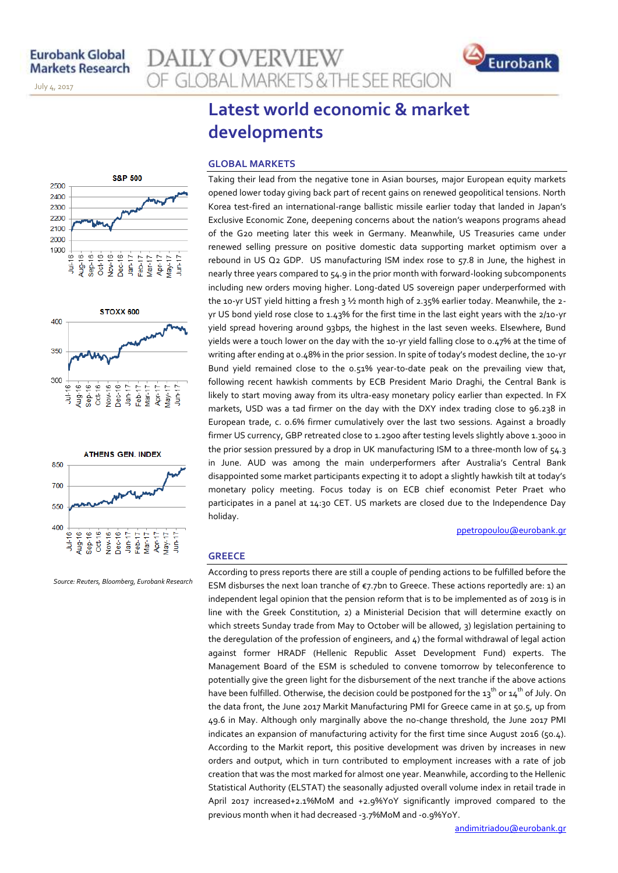November 14, 2013

July 4, 2017

**AILY OVERVIEW** OF GLOBAL MARKETS & THE SEE REGION









*Source: Reuters, Bloomberg, Eurobank Research*

# **Latest world economic & market developments**

#### **GLOBAL MARKETS**

Taking their lead from the negative tone in Asian bourses, major European equity markets opened lower today giving back part of recent gains on renewed geopolitical tensions. North Korea test-fired an international-range ballistic missile earlier today that landed in Japan's Exclusive Economic Zone, deepening concerns about the nation's weapons programs ahead of the G20 meeting later this week in Germany. Meanwhile, US Treasuries came under renewed selling pressure on positive domestic data supporting market optimism over a rebound in US Q2 GDP. US manufacturing ISM index rose to 57.8 in June, the highest in nearly three years compared to 54.9 in the prior month with forward-looking subcomponents including new orders moving higher. Long-dated US sovereign paper underperformed with the 10-yr UST yield hitting a fresh 3 1/2 month high of 2.35% earlier today. Meanwhile, the 2yr US bond yield rose close to 1.43% for the first time in the last eight years with the 2/10-yr yield spread hovering around 93bps, the highest in the last seven weeks. Elsewhere, Bund yields were a touch lower on the day with the 10-yr yield falling close to 0.47% at the time of writing after ending at 0.48% in the prior session. In spite of today's modest decline, the 10-yr Bund yield remained close to the 0.51% year-to-date peak on the prevailing view that, following recent hawkish comments by ECB President Mario Draghi, the Central Bank is likely to start moving away from its ultra-easy monetary policy earlier than expected. In FX markets, USD was a tad firmer on the day with the DXY index trading close to 96.238 in European trade, c. 0.6% firmer cumulatively over the last two sessions. Against a broadly firmer US currency, GBP retreated close to 1.2900 after testing levels slightly above 1.3000 in the prior session pressured by a drop in UK manufacturing ISM to a three-month low of 54.3 in June. AUD was among the main underperformers after Australia's Central Bank disappointed some market participants expecting it to adopt a slightly hawkish tilt at today's monetary policy meeting. Focus today is on ECB chief economist Peter Praet who participates in a panel at 14:30 CET. US markets are closed due to the Independence Day holiday.

#### [ppetropoulou@eurobank.gr](mailto:ppetropoulou@eurobank.gr)

### **GREECE**

According to press reports there are still a couple of pending actions to be fulfilled before the ESM disburses the next loan tranche of  $\varepsilon$ 7.7bn to Greece. These actions reportedly are: 1) an independent legal opinion that the pension reform that is to be implemented as of 2019 is in line with the Greek Constitution, 2) a Ministerial Decision that will determine exactly on which streets Sunday trade from May to October will be allowed, 3) legislation pertaining to the deregulation of the profession of engineers, and 4) the formal withdrawal of legal action against former HRADF (Hellenic Republic Asset Development Fund) experts. The Management Board of the ESM is scheduled to convene tomorrow by teleconference to potentially give the green light for the disbursement of the next tranche if the above actions have been fulfilled. Otherwise, the decision could be postponed for the 13<sup>th</sup> or 14<sup>th</sup> of July. On the data front, the June 2017 Markit Manufacturing PMI for Greece came in at 50.5, up from 49.6 in May. Although only marginally above the no-change threshold, the June 2017 PMI indicates an expansion of manufacturing activity for the first time since August 2016 (50.4). According to the Markit report, this positive development was driven by increases in new orders and output, which in turn contributed to employment increases with a rate of job creation that was the most marked for almost one year. Meanwhile, according to the Hellenic Statistical Authority (ELSTAT) the seasonally adjusted overall volume index in retail trade in April 2017 increased+2.1%MoM and +2.9%YoY significantly improved compared to the previous month when it had decreased -3.7%MoM and -0.9%YoY.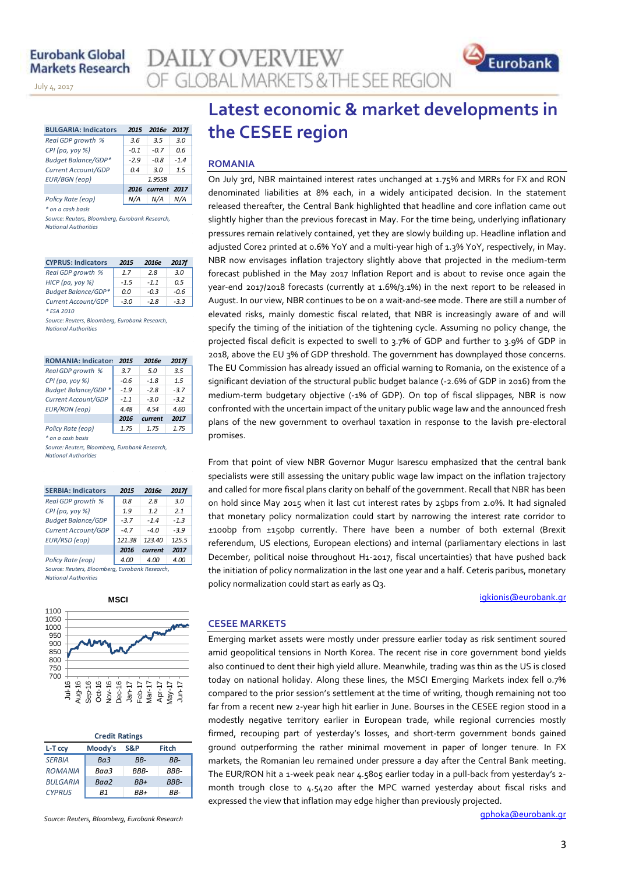November 14, 2013

July 4, 2017

| <b>BULGARIA: Indicators</b> | 2015   | 2016e   | <b>2017f</b> |
|-----------------------------|--------|---------|--------------|
| Real GDP growth %           | 3.6    | 3.5     | 3.0          |
| CPI (pa, yoy %)             | $-0.1$ | $-0.7$  | በ 6          |
| <b>Budget Balance/GDP*</b>  | $-2.9$ | $-0.8$  | $-1.4$       |
| Current Account/GDP         | 0.4    | 30      | 1.5          |
| <b>EUR/BGN</b> (eop)        |        | 1.9558  |              |
|                             | 2016   | current | - 2017       |
| Policy Rate (eop)           |        | N/A     |              |

*\* on a cash basis*

*Source: Reuters, Bloomberg, Eurobank Research, National Authorities*

| <b>CYPRUS: Indicators</b>  | 2015   | 2016e  | <b>2017f</b> |
|----------------------------|--------|--------|--------------|
| Real GDP growth %          | 17     | 28     | 3.0          |
| HICP (pa, yoy %)           | $-1.5$ | $-11$  | 0.5          |
| <b>Budget Balance/GDP*</b> | 0.0    | $-0.3$ | -0.6         |
| Current Account/GDP        | $-3.0$ | $-2.8$ | $-3.3$       |
| * ESA 2010                 |        |        |              |

*Source: Reuters, Bloomberg, Eurobank Research, National Authorities*

| <b>ROMANIA: Indicators</b> | 2015   | 2016e   | <b>2017f</b> |
|----------------------------|--------|---------|--------------|
| Real GDP growth %          | 3.7    | 5.0     | 3.5          |
| CPI (pa, yoy %)            | $-0.6$ | $-1.8$  | 1.5          |
| Budget Balance/GDP *       | $-1.9$ | -28     | $-3.7$       |
| Current Account/GDP        | $-1.1$ | $-3.0$  | $-3.2$       |
| <b>EUR/RON</b> (eop)       | 4.48   | 4.54    | 4.60         |
|                            | 2016   | current | 2017         |
| Policy Rate (eop)          | 1.75   | 1.75    | 1.75         |
| * on a cash basis          |        |         |              |
|                            |        |         |              |

*Source: Reuters, Bloomberg, Eurobank Research, National Authorities*

| <b>SERBIA: Indicators</b>                  | 2015   | 2016e   | 2017f  |
|--------------------------------------------|--------|---------|--------|
| Real GDP growth %                          | 0.8    | 2.8     | 3.0    |
| CPI (pa, yoy %)                            | 1.9    | 1.2     | 21     |
| <b>Budget Balance/GDP</b>                  | $-3.7$ | $-1.4$  | $-1.3$ |
| Current Account/GDP                        | $-4.7$ | -40     | $-3.9$ |
| EUR/RSD (eop)                              | 121.38 | 123.40  | 125.5  |
|                                            | 2016   | current | 2017   |
| Policy Rate (eop)                          | 4.00   | 4.00    | 4.00   |
| Correspondent Disordians Crusheal Descende |        |         |        |

*Source: Reuters, Bloomberg, Eurobank Research, National Authorities*



| <b>Credit Ratings</b> |                 |       |       |  |  |  |  |  |  |
|-----------------------|-----------------|-------|-------|--|--|--|--|--|--|
| L-T ccv               | Moody's         | S&P   | Fitch |  |  |  |  |  |  |
| <b>SERBIA</b>         | Ba <sub>3</sub> | RR-   | RR-   |  |  |  |  |  |  |
| <b>ROMANIA</b>        | Baa3            | RRR-  | RRR-  |  |  |  |  |  |  |
| <b>BULGARIA</b>       | Baa2            | $BB+$ | BBB-  |  |  |  |  |  |  |
| <b>CYPRUS</b>         | R1              | RR+   | RR-   |  |  |  |  |  |  |

*Source: Reuters, Bloomberg, Eurobank Research*

# **Latest economic & market developments in the CESEE region**

## **ROMANIA**

**JLY OVERVIEW** 

**GLOBAL MARKETS & THE SEE REGION** 

On July 3rd, NBR maintained interest rates unchanged at 1.75% and MRRs for FX and RON denominated liabilities at 8% each, in a widely anticipated decision. In the statement released thereafter, the Central Bank highlighted that headline and core inflation came out slightly higher than the previous forecast in May. For the time being, underlying inflationary pressures remain relatively contained, yet they are slowly building up. Headline inflation and adjusted Core2 printed at 0.6% YoY and a multi-year high of 1.3% YoY, respectively, in May. NBR now envisages inflation trajectory slightly above that projected in the medium-term forecast published in the May 2017 Inflation Report and is about to revise once again the year-end 2017/2018 forecasts (currently at 1.6%/3.1%) in the next report to be released in August. In our view, NBR continues to be on a wait-and-see mode. There are still a number of elevated risks, mainly domestic fiscal related, that NBR is increasingly aware of and will specify the timing of the initiation of the tightening cycle. Assuming no policy change, the projected fiscal deficit is expected to swell to 3.7% of GDP and further to 3.9% of GDP in 2018, above the EU 3% of GDP threshold. The government has downplayed those concerns. The EU Commission has already issued an official warning to Romania, on the existence of a significant deviation of the structural public budget balance (-2.6% of GDP in 2016) from the medium-term budgetary objective (-1% of GDP). On top of fiscal slippages, NBR is now confronted with the uncertain impact of the unitary public wage law and the announced fresh plans of the new government to overhaul taxation in response to the lavish pre-electoral promises.

From that point of view NBR Governor Mugur Isarescu emphasized that the central bank specialists were still assessing the unitary public wage law impact on the inflation trajectory and called for more fiscal plans clarity on behalf of the government. Recall that NBR has been on hold since May 2015 when it last cut interest rates by 25bps from 2.0%. It had signaled that monetary policy normalization could start by narrowing the interest rate corridor to ±100bp from ±150bp currently. There have been a number of both external (Brexit referendum, US elections, European elections) and internal (parliamentary elections in last December, political noise throughout H1-2017, fiscal uncertainties) that have pushed back the initiation of policy normalization in the last one year and a half. Ceteris paribus, monetary policy normalization could start as early as Q3.

igkionis@eurobank.gr

Eurobank

#### **CESEE MARKETS**

Emerging market assets were mostly under pressure earlier today as risk sentiment soured amid geopolitical tensions in North Korea. The recent rise in core government bond yields also continued to dent their high yield allure. Meanwhile, trading was thin as the US is closed today on national holiday. Along these lines, the MSCI Emerging Markets index fell 0.7% compared to the prior session's settlement at the time of writing, though remaining not too far from a recent new 2-year high hit earlier in June. Bourses in the CESEE region stood in a modestly negative territory earlier in European trade, while regional currencies mostly firmed, recouping part of yesterday's losses, and short-term government bonds gained ground outperforming the rather minimal movement in paper of longer tenure. In FX markets, the Romanian leu remained under pressure a day after the Central Bank meeting. The EUR/RON hit a 1-week peak near 4.5805 earlier today in a pull-back from yesterday's 2month trough close to 4.5420 after the MPC warned yesterday about fiscal risks and expressed the view that inflation may edge higher than previously projected.

gphoka@eurobank.gr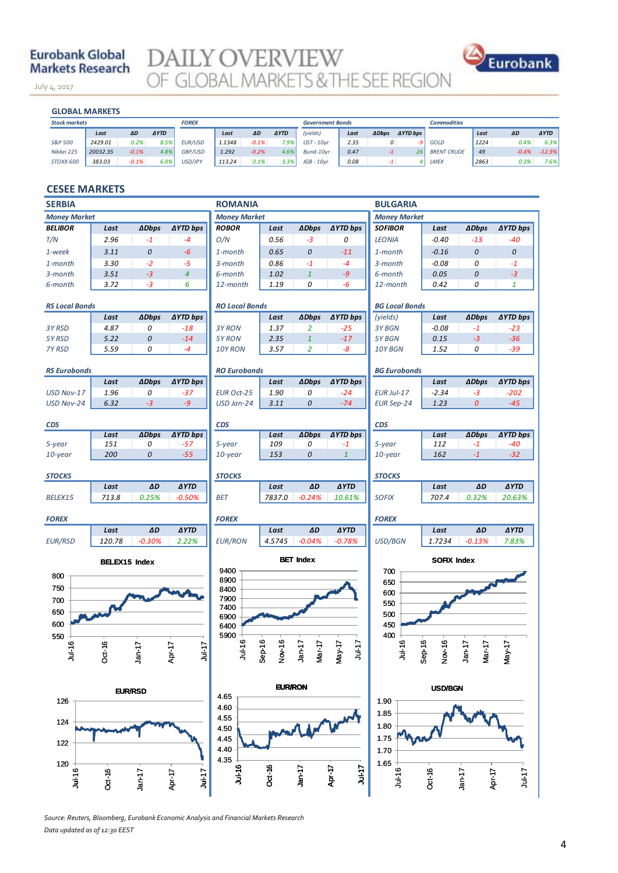## **Eurobank Global Markets Research**

July 4, 2017

**DAILY OVERVIEW** OF GLOBAL MARKETS & THE SEE REGION



### **GLOBAL MARKETS**

November 14, 2013

| <b>GLOBAL MARKETS</b> |          |           |             |                |        |         |             |                         |      |               |                 |                    |      |         |             |
|-----------------------|----------|-----------|-------------|----------------|--------|---------|-------------|-------------------------|------|---------------|-----------------|--------------------|------|---------|-------------|
| <b>Stock markets</b>  |          |           |             | <b>FOREX</b>   |        |         |             | <b>Government Bonds</b> |      |               |                 | <b>Commodities</b> |      |         |             |
|                       | Last     | <b>AD</b> | <b>AYTD</b> |                | Last   | ΔD      | <b>AYTD</b> | (yields)                | Last | <b>ADbps</b>  | <b>AYTD bps</b> |                    | Last | ΔD      | <b>AYTD</b> |
| S&P 500               | 2429.01  | 0.2%      | 8.5%        | <b>EUR/USD</b> | 1.1348 | $-0.1%$ | 7.9%        | $UST - 10vr$            | 2.35 | $\mathcal{O}$ | -91             | GOLD               | 1224 | 0.4%    | 6.3%        |
| Nikkei 225            | 20032.35 | $-0.1%$   | 4.8%        | GBP/USD        | 1.292  | $-0.2%$ | 4.6%        | Bund-10vr               | 0.47 | -1            | 26              | <b>BRENT CRUDE</b> | 49   | $-0.4%$ | $-12.9%$    |
| STOXX 600             | 383.03   | $-0.1%$   | 6.0%        | USD/JPY        | 113.24 | 0.1%    | 3.3%        | $JGB - 10$ vr           | 0.08 | $-1$          |                 | LMEX               | 2863 | 0.3%    | 7.6%        |
|                       |          |           |             |                |        |         |             |                         |      |               |                 |                    |      |         |             |

## **CESEE MARKETS**

| <b>SERBIA</b>         |                                                                |                |                     | <b>ROMANIA</b>        |                   |                  |                      | <b>BULGARIA</b>       |                    |                    |                     |  |
|-----------------------|----------------------------------------------------------------|----------------|---------------------|-----------------------|-------------------|------------------|----------------------|-----------------------|--------------------|--------------------|---------------------|--|
| <b>Money Market</b>   |                                                                |                |                     | <b>Money Market</b>   |                   |                  |                      | <b>Money Market</b>   |                    |                    |                     |  |
| <b>BELIBOR</b>        | Last                                                           | <b>ADbps</b>   | ∆YTD bps            | <b>ROBOR</b>          | Last              | <b>ADbps</b>     | ∆YTD bps             | <b>SOFIBOR</b>        | Last               | <b>ADbps</b>       | <b>∆YTD bps</b>     |  |
| T/N                   | 2.96                                                           | $-1$           | -4                  | O/N                   | 0.56              | $-3$             | 0                    | <b>LEONIA</b>         | $-0.40$            | $-13$              | -40                 |  |
| 1-week                | 3.11                                                           | 0              | $-6$                | 1-month               | 0.65              | 0                | $-11$                | 1-month               | $-0.16$            | 0                  | 0                   |  |
| 1-month               | 3.30                                                           | $-2$           | -5                  | 3-month               | 0.86              | $-1$             | $-4$                 | 3-month               | $-0.08$            | 0                  | $-1$                |  |
| 3-month               | 3.51                                                           | $-3$           | $\overline{4}$      | 6-month               | 1.02              | $\mathbf{1}$     | $-9$                 | 6-month               | 0.05               | 0                  | $-3$                |  |
| 6-month               | 3.72                                                           | $-3$           | 6                   | 12-month              | 1.19              | 0                | -6                   | 12-month              | 0.42               | 0                  | $\mathbf{1}$        |  |
| <b>RS Local Bonds</b> |                                                                |                |                     | <b>RO Local Bonds</b> |                   |                  |                      | <b>BG Local Bonds</b> |                    |                    |                     |  |
|                       | Last                                                           | <b>ADbps</b>   | <b>AYTD bps</b>     |                       | Last              | <b>ADbps</b>     | <b>AYTD bps</b>      | (yields)              | Last               | <b>ADbps</b>       | <b>AYTD bps</b>     |  |
| 3Y RSD                | 4.87                                                           | 0              | $-18$               | 3Y RON                | 1.37              | $\overline{2}$   | $-25$                | 3Y BGN                | $-0.08$            | $-1$               | $-23$               |  |
| 5Y RSD                | 5.22                                                           | 0              | $-14$               | 5Y RON                | 2.35              | $\mathbf{1}$     | $-17$                | 5Y BGN                | 0.15               | $-3$               | $-36$               |  |
| 7Y RSD                | 5.59                                                           | 0              | $-4$                | 10Y RON               | 3.57              | $\overline{2}$   | -8                   | 10Y BGN               | 1.52               | 0                  | $-39$               |  |
| <b>RS Eurobonds</b>   |                                                                |                |                     | <b>RO Eurobonds</b>   |                   |                  |                      | <b>BG Eurobonds</b>   |                    |                    |                     |  |
|                       | Last                                                           | <b>ADbps</b>   | ∆YTD bps            |                       | Last              | <b>ADbps</b>     | ∆YTD bps             |                       | Last               | <b>ADbps</b>       | <b>AYTD bps</b>     |  |
| USD Nov-17            | 1.96                                                           | 0              | $-37$               | <b>EUR Oct-25</b>     | 1.90              | 0                | $-24$                | EUR Jul-17            | $-2.34$            | $-3$               | $-202$              |  |
| USD Nov-24            | 6.32                                                           | $-3$           | $-9$                | USD Jan-24            | 3.11              | $\boldsymbol{o}$ | $-74$                | <b>EUR Sep-24</b>     | 1.23               | $\boldsymbol{0}$   | $-45$               |  |
|                       |                                                                |                |                     |                       |                   |                  |                      |                       |                    |                    |                     |  |
| <b>CDS</b>            | Last                                                           | <b>ADbps</b>   | <b>AYTD bps</b>     | <b>CDS</b>            | Last              | <b>ADbps</b>     | <b>AYTD bps</b>      | <b>CDS</b>            | Last               | <b>ADbps</b>       | <b>AYTD bps</b>     |  |
| 5-year                | 151                                                            | 0              | $-57$               | 5-year                | 109               | 0                | $-1$                 | 5-year                | 112                | $-1$               | $-40$               |  |
| $10$ -year            | 200                                                            | 0              | $-55$               | 10-year               | 153               | $\boldsymbol{0}$ | $\mathbf{1}$         | 10-year               | 162                | $-1$               | $-32$               |  |
|                       |                                                                |                |                     |                       |                   |                  |                      |                       |                    |                    |                     |  |
| <b>STOCKS</b>         |                                                                |                |                     | <b>STOCKS</b>         |                   |                  |                      | <b>STOCKS</b>         |                    |                    |                     |  |
|                       | Last                                                           | AD             | <b>AYTD</b>         |                       | Last              | AD               | <b>AYTD</b>          |                       | Last               | ΔD                 | <b>AYTD</b>         |  |
| BELEX15               | 713.8                                                          | 0.25%          | $-0.50%$            | BET                   | 7837.0            | $-0.24%$         | 10.61%               | <b>SOFIX</b>          | 707.4              | 0.32%              | 20.63%              |  |
| <b>FOREX</b>          |                                                                |                |                     | <b>FOREX</b>          |                   |                  |                      | <b>FOREX</b>          |                    |                    |                     |  |
|                       | Last                                                           | AD             | <b>AYTD</b>         |                       | Last              | AD               | <b>AYTD</b>          |                       | Last               | ΔD                 | <b>AYTD</b>         |  |
| <b>EUR/RSD</b>        | 120.78                                                         | $-0.30%$       | 2.22%               | <b>EUR/RON</b>        | 4.5745            | $-0.04%$         | $-0.78%$             | <b>USD/BGN</b>        | 1.7234             | $-0.13%$           | 7.83%               |  |
|                       | <b>BET Index</b><br><b>SOFIX Index</b><br><b>BELEX15 Index</b> |                |                     |                       |                   |                  |                      |                       |                    |                    |                     |  |
| 800                   |                                                                |                |                     | 9400<br>8900          |                   |                  |                      | 700                   |                    |                    |                     |  |
| 750                   |                                                                |                |                     | 8400                  |                   |                  |                      | 650<br>600            |                    |                    |                     |  |
| 700                   |                                                                |                |                     | 7900                  |                   |                  |                      | 550                   |                    |                    |                     |  |
| 650                   |                                                                |                |                     | 7400<br>6900          |                   |                  |                      | 500                   |                    |                    |                     |  |
| 600                   |                                                                |                |                     | 6400                  |                   |                  |                      | 450                   |                    |                    |                     |  |
| 550                   |                                                                |                |                     | 5900                  |                   |                  |                      | 400                   |                    |                    |                     |  |
| $JuI-16$              | Oct-16                                                         | $Jan-17$       | $Jul-17$<br>Apr-17  | $Ju - 16$             | Step 16<br>Nov-16 | Jan 17<br>Mar-17 | $Jul-17$<br>$Nay-17$ | <b>Jul-16</b>         | $Sep-16$<br>Nov-16 | $Jan-17$<br>Mar-17 | May-17              |  |
|                       |                                                                |                |                     |                       |                   |                  |                      |                       |                    |                    |                     |  |
|                       |                                                                |                |                     |                       |                   |                  |                      |                       |                    |                    |                     |  |
|                       |                                                                | <b>EUR/RSD</b> |                     | 4.65                  | <b>EUR/RON</b>    |                  |                      |                       | <b>USD/BGN</b>     |                    |                     |  |
| 126                   |                                                                |                |                     | 4.60                  |                   |                  |                      | 1.90                  |                    |                    |                     |  |
| 124                   |                                                                |                |                     | 4.55<br>4.50          |                   |                  |                      | 1.85<br>1.80          |                    |                    |                     |  |
| 122                   |                                                                |                |                     | 4.45                  |                   |                  |                      | 1.75                  |                    |                    |                     |  |
|                       |                                                                |                |                     | 4.40                  |                   |                  |                      | 1.70                  |                    |                    |                     |  |
| 120                   |                                                                |                |                     | 4.35                  |                   |                  |                      | 1.65                  |                    |                    |                     |  |
| 9<br>11-16            | Oct-16                                                         | lanc17         | $J$ ul-17<br>Apr-17 | Jul-16                | Oct-16            | Jan-17           | $Ju+17$<br>Apr-17    | $J$ ul-16             | Oct-16             | Jan-17             | Apr-17<br>$71 - 10$ |  |
|                       |                                                                |                |                     |                       |                   |                  |                      |                       |                    |                    |                     |  |

*Source: Reuters, Bloomberg, Eurobank Economic Analysis and Financial Markets Research Data updated as of 12:30 EEST*